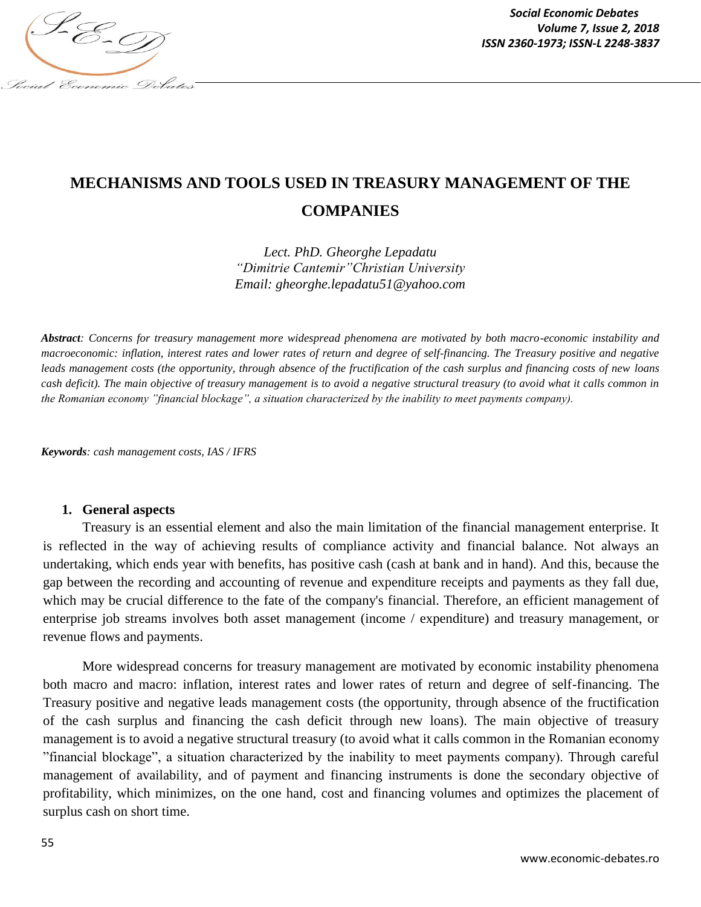

*Social Economic Debates Volume 7, Issue 2, 2018*

# **MECHANISMS AND TOOLS USED IN TREASURY MANAGEMENT OF THE COMPANIES**

*Lect. PhD. Gheorghe Lepadatu "Dimitrie Cantemir"Christian University Email: gheorghe.lepadatu51@yahoo.com*

*Abstract: Concerns for treasury management more widespread phenomena are motivated by both macro-economic instability and macroeconomic: inflation, interest rates and lower rates of return and degree of self-financing. The Treasury positive and negative leads management costs (the opportunity, through absence of the fructification of the cash surplus and financing costs of new loans cash deficit). The main objective of treasury management is to avoid a negative structural treasury (to avoid what it calls common in the Romanian economy "financial blockage", a situation characterized by the inability to meet payments company).*

*Keywords: cash management costs, IAS / IFRS*

#### **1. General aspects**

Treasury is an essential element and also the main limitation of the financial management enterprise. It is reflected in the way of achieving results of compliance activity and financial balance. Not always an undertaking, which ends year with benefits, has positive cash (cash at bank and in hand). And this, because the gap between the recording and accounting of revenue and expenditure receipts and payments as they fall due, which may be crucial difference to the fate of the company's financial. Therefore, an efficient management of enterprise job streams involves both asset management (income / expenditure) and treasury management, or revenue flows and payments.

More widespread concerns for treasury management are motivated by economic instability phenomena both macro and macro: inflation, interest rates and lower rates of return and degree of self-financing. The Treasury positive and negative leads management costs (the opportunity, through absence of the fructification of the cash surplus and financing the cash deficit through new loans). The main objective of treasury management is to avoid a negative structural treasury (to avoid what it calls common in the Romanian economy "financial blockage", a situation characterized by the inability to meet payments company). Through careful management of availability, and of payment and financing instruments is done the secondary objective of profitability, which minimizes, on the one hand, cost and financing volumes and optimizes the placement of surplus cash on short time.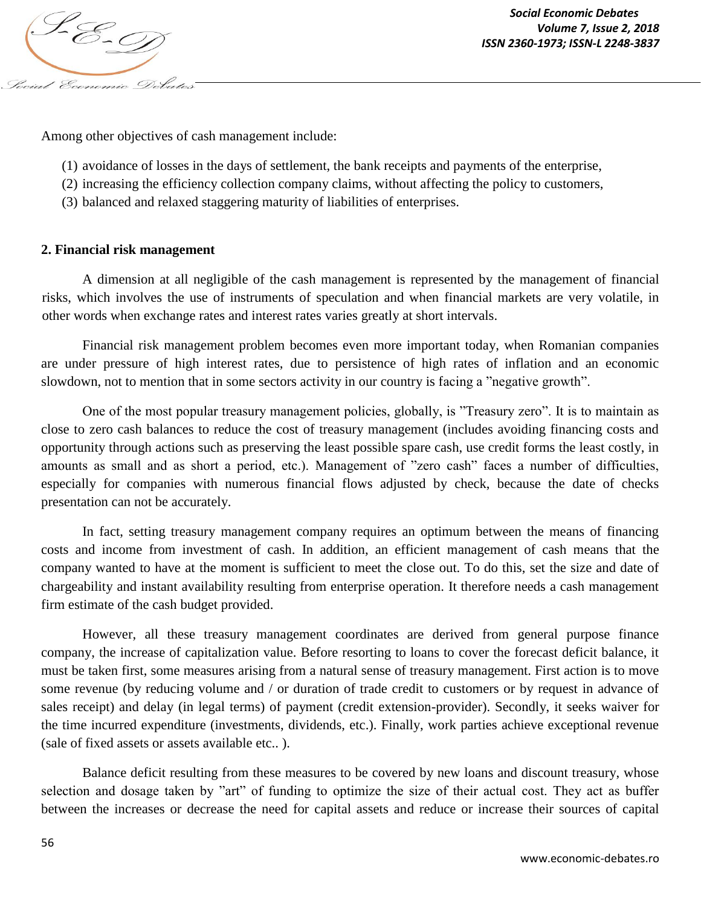

Among other objectives of cash management include:

- (1) avoidance of losses in the days of settlement, the bank receipts and payments of the enterprise,
- (2) increasing the efficiency collection company claims, without affecting the policy to customers,
- (3) balanced and relaxed staggering maturity of liabilities of enterprises.

## **2. Financial risk management**

A dimension at all negligible of the cash management is represented by the management of financial risks, which involves the use of instruments of speculation and when financial markets are very volatile, in other words when exchange rates and interest rates varies greatly at short intervals.

Financial risk management problem becomes even more important today, when Romanian companies are under pressure of high interest rates, due to persistence of high rates of inflation and an economic slowdown, not to mention that in some sectors activity in our country is facing a "negative growth".

One of the most popular treasury management policies, globally, is "Treasury zero". It is to maintain as close to zero cash balances to reduce the cost of treasury management (includes avoiding financing costs and opportunity through actions such as preserving the least possible spare cash, use credit forms the least costly, in amounts as small and as short a period, etc.). Management of "zero cash" faces a number of difficulties, especially for companies with numerous financial flows adjusted by check, because the date of checks presentation can not be accurately.

In fact, setting treasury management company requires an optimum between the means of financing costs and income from investment of cash. In addition, an efficient management of cash means that the company wanted to have at the moment is sufficient to meet the close out. To do this, set the size and date of chargeability and instant availability resulting from enterprise operation. It therefore needs a cash management firm estimate of the cash budget provided.

However, all these treasury management coordinates are derived from general purpose finance company, the increase of capitalization value. Before resorting to loans to cover the forecast deficit balance, it must be taken first, some measures arising from a natural sense of treasury management. First action is to move some revenue (by reducing volume and / or duration of trade credit to customers or by request in advance of sales receipt) and delay (in legal terms) of payment (credit extension-provider). Secondly, it seeks waiver for the time incurred expenditure (investments, dividends, etc.). Finally, work parties achieve exceptional revenue (sale of fixed assets or assets available etc.. ).

Balance deficit resulting from these measures to be covered by new loans and discount treasury, whose selection and dosage taken by "art" of funding to optimize the size of their actual cost. They act as buffer between the increases or decrease the need for capital assets and reduce or increase their sources of capital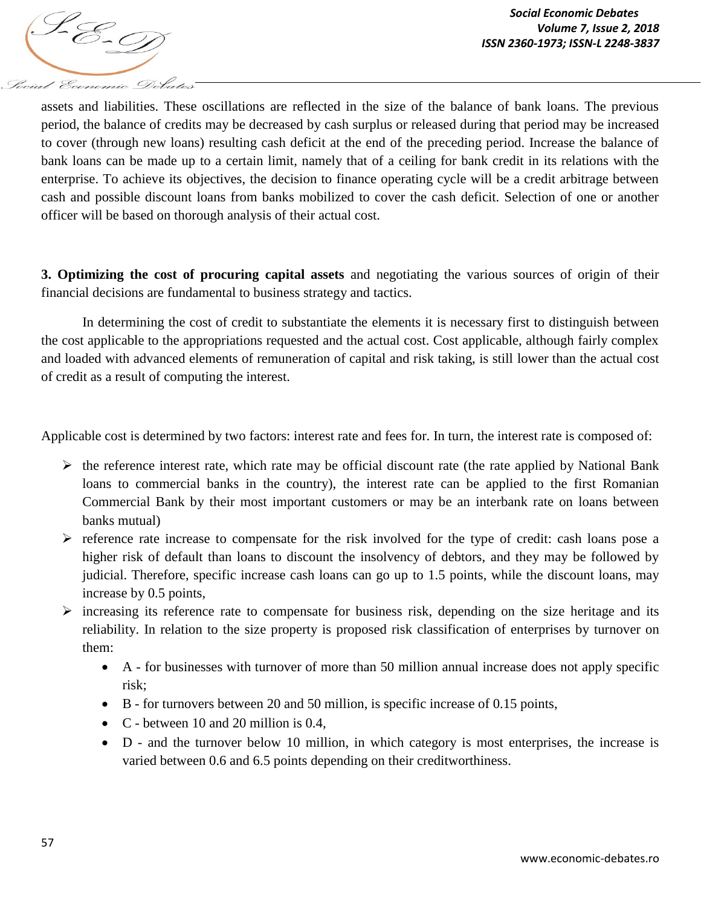

assets and liabilities. These oscillations are reflected in the size of the balance of bank loans. The previous period, the balance of credits may be decreased by cash surplus or released during that period may be increased to cover (through new loans) resulting cash deficit at the end of the preceding period. Increase the balance of bank loans can be made up to a certain limit, namely that of a ceiling for bank credit in its relations with the enterprise. To achieve its objectives, the decision to finance operating cycle will be a credit arbitrage between cash and possible discount loans from banks mobilized to cover the cash deficit. Selection of one or another officer will be based on thorough analysis of their actual cost.

**3. Optimizing the cost of procuring capital assets** and negotiating the various sources of origin of their financial decisions are fundamental to business strategy and tactics.

In determining the cost of credit to substantiate the elements it is necessary first to distinguish between the cost applicable to the appropriations requested and the actual cost. Cost applicable, although fairly complex and loaded with advanced elements of remuneration of capital and risk taking, is still lower than the actual cost of credit as a result of computing the interest.

Applicable cost is determined by two factors: interest rate and fees for. In turn, the interest rate is composed of:

- $\triangleright$  the reference interest rate, which rate may be official discount rate (the rate applied by National Bank loans to commercial banks in the country), the interest rate can be applied to the first Romanian Commercial Bank by their most important customers or may be an interbank rate on loans between banks mutual)
- $\triangleright$  reference rate increase to compensate for the risk involved for the type of credit: cash loans pose a higher risk of default than loans to discount the insolvency of debtors, and they may be followed by judicial. Therefore, specific increase cash loans can go up to 1.5 points, while the discount loans, may increase by 0.5 points,
- $\triangleright$  increasing its reference rate to compensate for business risk, depending on the size heritage and its reliability. In relation to the size property is proposed risk classification of enterprises by turnover on them:
	- A for businesses with turnover of more than 50 million annual increase does not apply specific risk;
	- B for turnovers between 20 and 50 million, is specific increase of 0.15 points,
	- C between 10 and 20 million is 0.4,
	- D and the turnover below 10 million, in which category is most enterprises, the increase is varied between 0.6 and 6.5 points depending on their creditworthiness.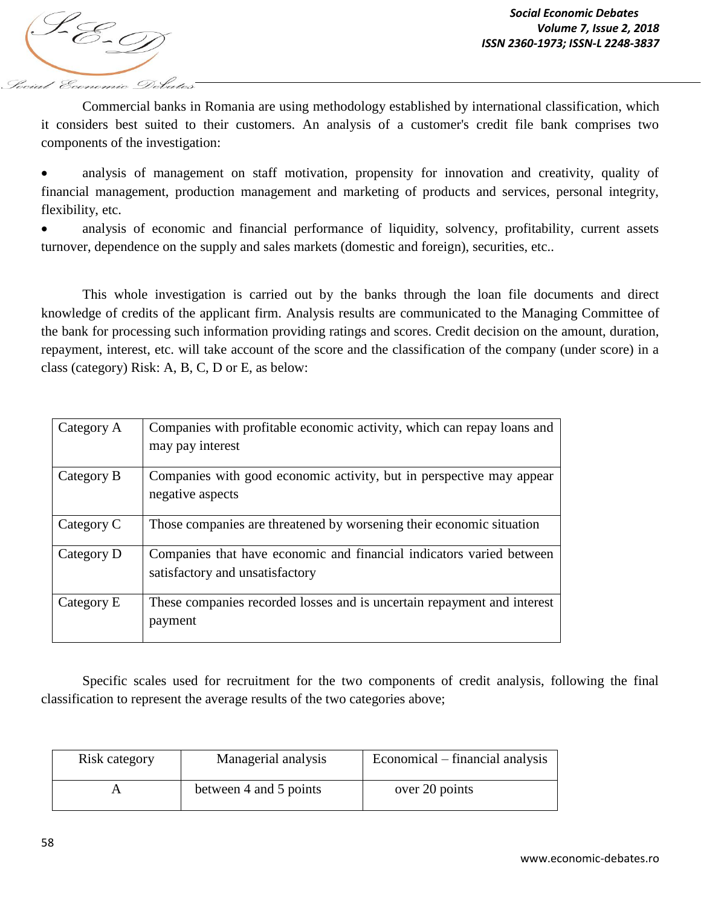focial Economic Debate

Commercial banks in Romania are using methodology established by international classification, which it considers best suited to their customers. An analysis of a customer's credit file bank comprises two components of the investigation:

 analysis of management on staff motivation, propensity for innovation and creativity, quality of financial management, production management and marketing of products and services, personal integrity, flexibility, etc.

• analysis of economic and financial performance of liquidity, solvency, profitability, current assets turnover, dependence on the supply and sales markets (domestic and foreign), securities, etc..

This whole investigation is carried out by the banks through the loan file documents and direct knowledge of credits of the applicant firm. Analysis results are communicated to the Managing Committee of the bank for processing such information providing ratings and scores. Credit decision on the amount, duration, repayment, interest, etc. will take account of the score and the classification of the company (under score) in a class (category) Risk: A, B, C, D or E, as below:

| Category A | Companies with profitable economic activity, which can repay loans and<br>may pay interest              |
|------------|---------------------------------------------------------------------------------------------------------|
| Category B | Companies with good economic activity, but in perspective may appear<br>negative aspects                |
| Category C | Those companies are threatened by worsening their economic situation                                    |
| Category D | Companies that have economic and financial indicators varied between<br>satisfactory and unsatisfactory |
| Category E | These companies recorded losses and is uncertain repayment and interest<br>payment                      |

Specific scales used for recruitment for the two components of credit analysis, following the final classification to represent the average results of the two categories above;

| Risk category | Managerial analysis    | Economical – financial analysis |
|---------------|------------------------|---------------------------------|
|               | between 4 and 5 points | over 20 points                  |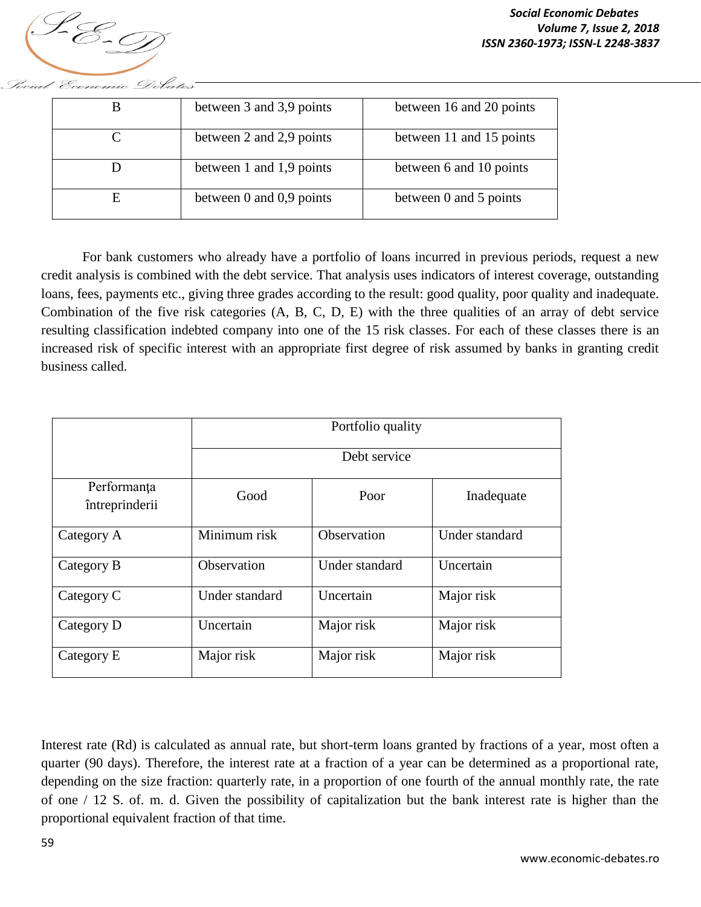

|   | between 3 and 3,9 points     | between 16 and 20 points |
|---|------------------------------|--------------------------|
|   | between 2 and 2,9 points     | between 11 and 15 points |
|   | between 1 and 1,9 points     | between 6 and 10 points  |
| E | between $0$ and $0.9$ points | between 0 and 5 points   |

For bank customers who already have a portfolio of loans incurred in previous periods, request a new credit analysis is combined with the debt service. That analysis uses indicators of interest coverage, outstanding loans, fees, payments etc., giving three grades according to the result: good quality, poor quality and inadequate. Combination of the five risk categories (A, B, C, D, E) with the three qualities of an array of debt service resulting classification indebted company into one of the 15 risk classes. For each of these classes there is an increased risk of specific interest with an appropriate first degree of risk assumed by banks in granting credit business called.

|                               | Portfolio quality |                |                |  |
|-------------------------------|-------------------|----------------|----------------|--|
|                               | Debt service      |                |                |  |
| Performanța<br>întreprinderii | Good              | Poor           | Inadequate     |  |
| Category A                    | Minimum risk      | Observation    | Under standard |  |
| Category B                    | Observation       | Under standard | Uncertain      |  |
| Category C                    | Under standard    | Uncertain      | Major risk     |  |
| Category D                    | Uncertain         | Major risk     | Major risk     |  |
| Category E                    | Major risk        | Major risk     | Major risk     |  |

Interest rate (Rd) is calculated as annual rate, but short-term loans granted by fractions of a year, most often a quarter (90 days). Therefore, the interest rate at a fraction of a year can be determined as a proportional rate, depending on the size fraction: quarterly rate, in a proportion of one fourth of the annual monthly rate, the rate of one / 12 S. of. m. d. Given the possibility of capitalization but the bank interest rate is higher than the proportional equivalent fraction of that time.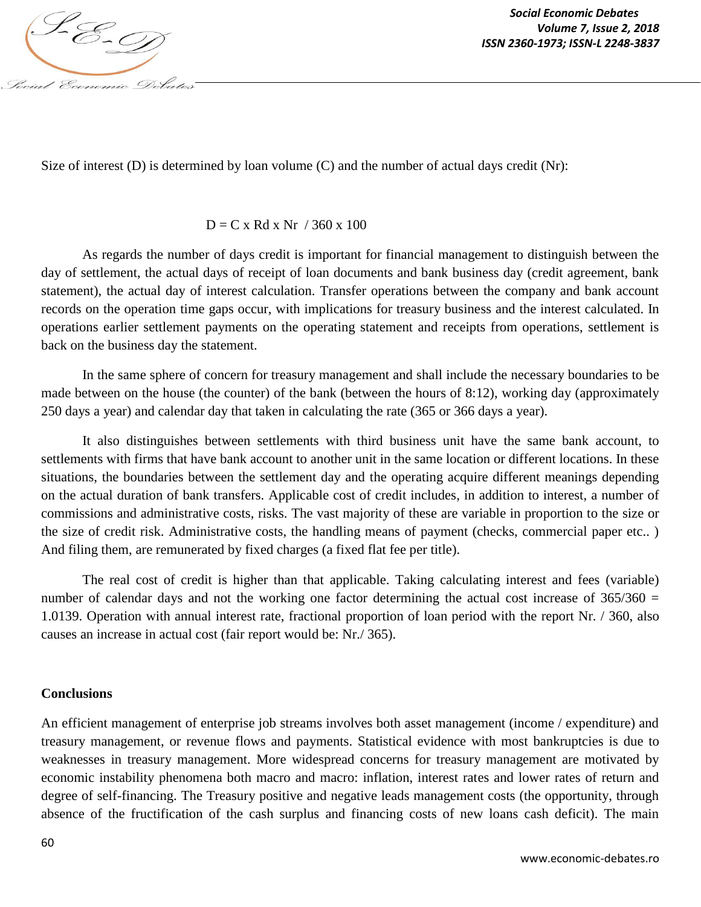

Size of interest (D) is determined by loan volume (C) and the number of actual days credit (Nr):

#### $D = C x R dx Nr / 360 x 100$

As regards the number of days credit is important for financial management to distinguish between the day of settlement, the actual days of receipt of loan documents and bank business day (credit agreement, bank statement), the actual day of interest calculation. Transfer operations between the company and bank account records on the operation time gaps occur, with implications for treasury business and the interest calculated. In operations earlier settlement payments on the operating statement and receipts from operations, settlement is back on the business day the statement.

In the same sphere of concern for treasury management and shall include the necessary boundaries to be made between on the house (the counter) of the bank (between the hours of 8:12), working day (approximately 250 days a year) and calendar day that taken in calculating the rate (365 or 366 days a year).

It also distinguishes between settlements with third business unit have the same bank account, to settlements with firms that have bank account to another unit in the same location or different locations. In these situations, the boundaries between the settlement day and the operating acquire different meanings depending on the actual duration of bank transfers. Applicable cost of credit includes, in addition to interest, a number of commissions and administrative costs, risks. The vast majority of these are variable in proportion to the size or the size of credit risk. Administrative costs, the handling means of payment (checks, commercial paper etc.. ) And filing them, are remunerated by fixed charges (a fixed flat fee per title).

The real cost of credit is higher than that applicable. Taking calculating interest and fees (variable) number of calendar days and not the working one factor determining the actual cost increase of  $365/360 =$ 1.0139. Operation with annual interest rate, fractional proportion of loan period with the report Nr. / 360, also causes an increase in actual cost (fair report would be: Nr./ 365).

### **Conclusions**

An efficient management of enterprise job streams involves both asset management (income / expenditure) and treasury management, or revenue flows and payments. Statistical evidence with most bankruptcies is due to weaknesses in treasury management. More widespread concerns for treasury management are motivated by economic instability phenomena both macro and macro: inflation, interest rates and lower rates of return and degree of self-financing. The Treasury positive and negative leads management costs (the opportunity, through absence of the fructification of the cash surplus and financing costs of new loans cash deficit). The main